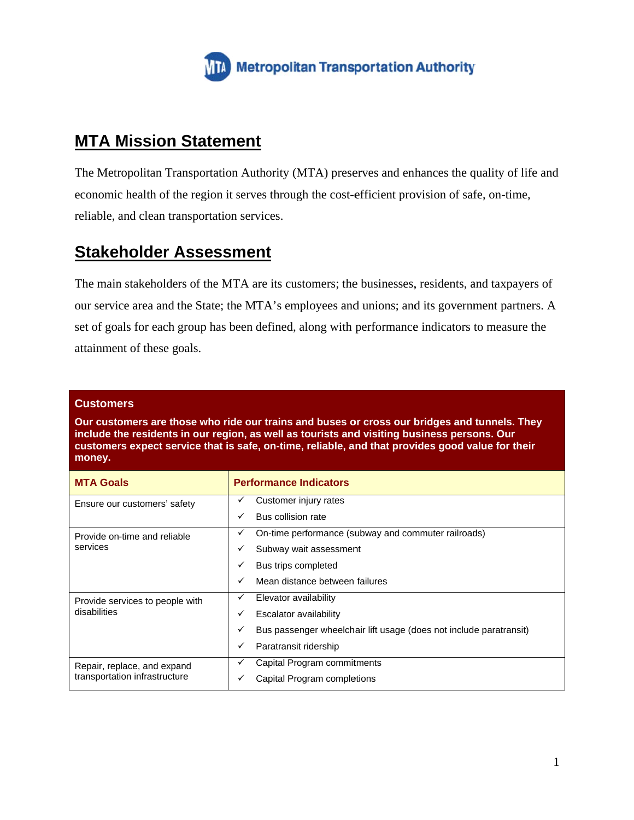

## **MTA Mission Statement**

The Metropolitan Transportation Authority (MTA) preserves and enhances the quality of life and economic health of the region it serves through the cost-efficient provision of safe, on-time, reliable, and clean transportation services.

# **Stakeholder Assessment**

The main stakeholders of the MTA are its customers; the businesses, residents, and taxpayers of our service area and the State; the MTA's employees and unions; and its government partners. A set of goals for each group has been defined, along with performance indicators to measure the attainment of these goals.

### **Customers**

Our customers are those who ride our trains and buses or cross our bridges and tunnels. They include the residents in our region, as well as tourists and visiting business persons. Our customers expect service that is safe, on-time, reliable, and that provides good value for their money.

| <b>MTA Goals</b>                                             | <b>Performance Indicators</b>                                           |
|--------------------------------------------------------------|-------------------------------------------------------------------------|
| Ensure our customers' safety                                 | Customer injury rates<br>✓                                              |
|                                                              | Bus collision rate<br>✓                                                 |
| Provide on-time and reliable<br>services                     | On-time performance (subway and commuter railroads)<br>v                |
|                                                              | Subway wait assessment<br>✓                                             |
|                                                              | Bus trips completed<br>✓                                                |
|                                                              | Mean distance between failures<br>✓                                     |
| Provide services to people with<br>disabilities              | Elevator availability<br>✓                                              |
|                                                              | Escalator availability<br>✓                                             |
|                                                              | Bus passenger wheelchair lift usage (does not include paratransit)<br>✓ |
|                                                              | Paratransit ridership<br>✓                                              |
| Repair, replace, and expand<br>transportation infrastructure | Capital Program commitments<br>✓                                        |
|                                                              | Capital Program completions                                             |